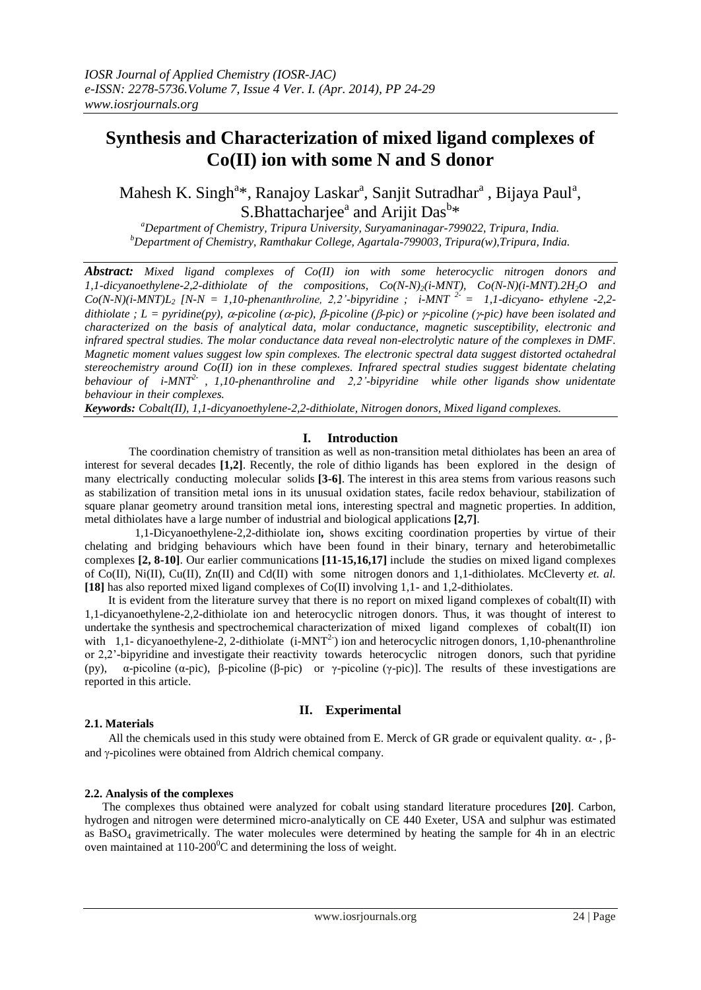# **Synthesis and Characterization of mixed ligand complexes of Co(II) ion with some N and S donor**

Mahesh K. Singh<sup>a\*</sup>, Ranajoy Laskar<sup>a</sup>, Sanjit Sutradhar<sup>a</sup>, Bijaya Paul<sup>a</sup>, S.Bhattacharjee<sup>a</sup> and Arijit Das<sup>b\*</sup>

*<sup>a</sup>Department of Chemistry, Tripura University, Suryamaninagar-799022, Tripura, India. <sup>b</sup>Department of Chemistry, Ramthakur College, Agartala-799003, Tripura(w),Tripura, India.*

*Abstract: Mixed ligand complexes of Co(II) ion with some heterocyclic nitrogen donors and 1,1-dicyanoethylene-2,2-dithiolate of the compositions, Co(N-N)2(i-MNT), Co(N-N)(i-MNT).2H2O and*   $Co(N-N)(i-MNT)L<sub>2</sub>$   $[N-N = 1,10$ -phenanthroline, 2,2'-bipyridine ;  $i-MNT<sup>2-</sup> = 1,1$ -dicyano-ethylene -2,2 $dithiolate$ ;  $L = pyridine(py)$ ,  $\alpha$ -picoline ( $\alpha$ -pic),  $\beta$ -picoline ( $\beta$ -pic) or  $\gamma$ -picoline ( $\gamma$ -pic) have been isolated and *characterized on the basis of analytical data, molar conductance, magnetic susceptibility, electronic and infrared spectral studies. The molar conductance data reveal non-electrolytic nature of the complexes in DMF. Magnetic moment values suggest low spin complexes. The electronic spectral data suggest distorted octahedral stereochemistry around Co(II) ion in these complexes. Infrared spectral studies suggest bidentate chelating behaviour of i-MNT2- , 1,10-phenanthroline and 2,2'-bipyridine while other ligands show unidentate behaviour in their complexes.*

*Keywords: Cobalt(II), 1,1-dicyanoethylene-2,2-dithiolate, Nitrogen donors, Mixed ligand complexes.*

#### **I. Introduction**

 The coordination chemistry of transition as well as non-transition metal dithiolates has been an area of interest for several decades **[1,2]**. Recently, the role of dithio ligands has been explored in the design of many electrically conducting molecular solids **[3-6]**. The interest in this area stems from various reasons such as stabilization of transition metal ions in its unusual oxidation states, facile redox behaviour, stabilization of square planar geometry around transition metal ions, interesting spectral and magnetic properties. In addition, metal dithiolates have a large number of industrial and biological applications **[2,7]**.

 1,1-Dicyanoethylene-2,2-dithiolate ion**,** shows exciting coordination properties by virtue of their chelating and bridging behaviours which have been found in their binary, ternary and heterobimetallic complexes **[2, 8-10]**. Our earlier communications **[11-15,16,17]** include the studies on mixed ligand complexes of Co(II), Ni(II), Cu(II), Zn(II) and Cd(II) with some nitrogen donors and 1,1-dithiolates. McCleverty *et. al.*  **[18]** has also reported mixed ligand complexes of Co(II) involving 1,1- and 1,2-dithiolates.

 It is evident from the literature survey that there is no report on mixed ligand complexes of cobalt(II) with 1,1-dicyanoethylene-2,2-dithiolate ion and heterocyclic nitrogen donors. Thus, it was thought of interest to undertake the synthesis and spectrochemical characterization of mixed ligand complexes of cobalt(II) ion with  $1,1$ - dicyanoethylene-2, 2-dithiolate (i-MNT<sup>2-</sup>) ion and heterocyclic nitrogen donors, 1,10-phenanthroline or 2,2'-bipyridine and investigate their reactivity towards heterocyclic nitrogen donors, such that pyridine (py),  $\alpha$ -picoline ( $\alpha$ -pic),  $\beta$ -picoline ( $\beta$ -pic) or  $\gamma$ -picoline ( $\gamma$ -pic)]. The results of these investigations are reported in this article.

#### **II. Experimental**

#### **2.1. Materials**

All the chemicals used in this study were obtained from E. Merck of GR grade or equivalent quality.  $\alpha$ -,  $\beta$ and  $\gamma$ -picolines were obtained from Aldrich chemical company.

#### **2.2. Analysis of the complexes**

 The complexes thus obtained were analyzed for cobalt using standard literature procedures **[20]**. Carbon, hydrogen and nitrogen were determined micro-analytically on CE 440 Exeter, USA and sulphur was estimated as  $BaSO<sub>4</sub>$  gravimetrically. The water molecules were determined by heating the sample for 4h in an electric oven maintained at  $110{\text -}200^0$ C and determining the loss of weight.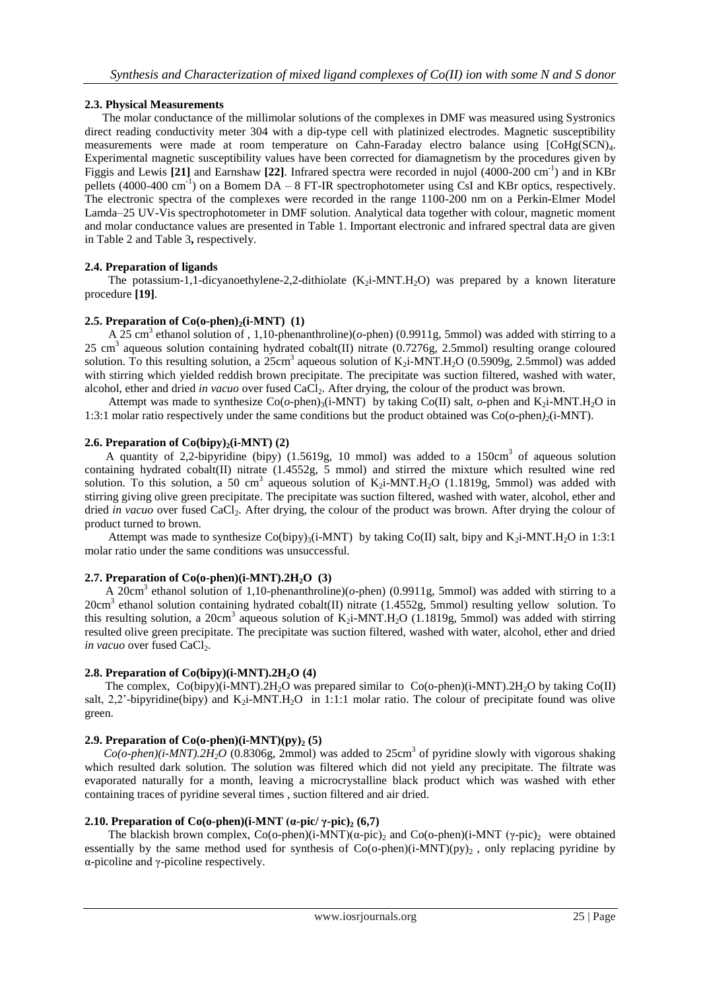# **2.3. Physical Measurements**

 The molar conductance of the millimolar solutions of the complexes in DMF was measured using Systronics direct reading conductivity meter 304 with a dip-type cell with platinized electrodes. Magnetic susceptibility measurements were made at room temperature on Cahn-Faraday electro balance using [CoHg(SCN)4. Experimental magnetic susceptibility values have been corrected for diamagnetism by the procedures given by Figgis and Lewis [21] and Earnshaw [22]. Infrared spectra were recorded in nujol (4000-200 cm<sup>-1</sup>) and in KBr pellets (4000-400 cm<sup>-1</sup>) on a Bomem DA – 8 FT-IR spectrophotometer using CsI and KBr optics, respectively. The electronic spectra of the complexes were recorded in the range 1100-200 nm on a Perkin-Elmer Model Lamda–25 UV-Vis spectrophotometer in DMF solution. Analytical data together with colour, magnetic moment and molar conductance values are presented in Table 1. Important electronic and infrared spectral data are given in Table 2 and Table 3**,** respectively.

# **2.4. Preparation of ligands**

The potassium-1,1-dicyanoethylene-2,2-dithiolate  $(K<sub>2</sub>i-MNT.H<sub>2</sub>O)$  was prepared by a known literature procedure **[19]**.

# **2.5. Preparation of**  $Co(o\text{-phen})_2(i\text{-}MNT)$  **(1)**

A 25 cm<sup>3</sup> ethanol solution of , 1,10-phenanthroline)( $o$ -phen) (0.9911g, 5mmol) was added with stirring to a 25 cm<sup>3</sup> aqueous solution containing hydrated cobalt(II) nitrate  $(0.7276g, 2.5mmol)$  resulting orange coloured solution. To this resulting solution, a  $25 \text{cm}^3$  aqueous solution of K<sub>2</sub>i-MNT.H<sub>2</sub>O (0.5909g, 2.5mmol) was added with stirring which yielded reddish brown precipitate. The precipitate was suction filtered, washed with water, alcohol, ether and dried *in vacuo* over fused CaCl2. After drying, the colour of the product was brown.

Attempt was made to synthesize  $Co(o\text{-phen})_3(i\text{-}MNT)$  by taking  $Co(II)$  salt,  $o\text{-phen}$  and  $K_2i\text{-}MNT.H_2O$  in 1:3:1 molar ratio respectively under the same conditions but the product obtained was Co(*o*-phen*)2*(i-MNT).

# **2.6. Preparation of Co(bipy)** $2$ (**i-MNT**) (2)

A quantity of 2,2-bipyridine (bipy) (1.5619g, 10 mmol) was added to a 150cm<sup>3</sup> of aqueous solution containing hydrated cobalt(II) nitrate (1.4552g, 5 mmol) and stirred the mixture which resulted wine red solution. To this solution, a 50 cm<sup>3</sup> aqueous solution of  $K_2$ i-MNT.H<sub>2</sub>O (1.1819g, 5mmol) was added with stirring giving olive green precipitate. The precipitate was suction filtered, washed with water, alcohol, ether and dried *in vacuo* over fused CaCl<sub>2</sub>. After drying, the colour of the product was brown. After drying the colour of product turned to brown.

Attempt was made to synthesize  $Co(bipy)_{3}(i-MNT)$  by taking  $Co(II)$  salt, bipy and  $K_{2}i-MNT.H_{2}O$  in 1:3:1 molar ratio under the same conditions was unsuccessful.

#### **2.7. Preparation of Co(o-phen)(i-MNT).2H2O (3)**

A 20cm<sup>3</sup> ethanol solution of 1,10-phenanthroline)(*o*-phen) (0.9911g, 5mmol) was added with stirring to a 20cm<sup>3</sup> ethanol solution containing hydrated cobalt(II) nitrate (1.4552g, 5mmol) resulting yellow solution. To this resulting solution, a 20cm<sup>3</sup> aqueous solution of K<sub>2</sub>i-MNT.H<sub>2</sub>O (1.1819g, 5mmol) was added with stirring resulted olive green precipitate. The precipitate was suction filtered, washed with water, alcohol, ether and dried *in vacuo* over fused CaCl<sub>2</sub>.

#### **2.8. Preparation of Co(bipy)(i-MNT).2H2O (4)**

The complex,  $Co(bipy)(i-MNT).2H<sub>2</sub>O$  was prepared similar to  $Co(o-phen)(i-MNT).2H<sub>2</sub>O$  by taking  $Co(II)$ salt, 2,2'-bipyridine(bipy) and  $K_2$ i-MNT.H<sub>2</sub>O in 1:1:1 molar ratio. The colour of precipitate found was olive green.

# **2.9. Preparation of Co(o-phen)(** $i$ **-MNT)(** $pv$ **)** $2$  **(5)**

 $Co(o\text{-}phen)(i\text{-}MNT) \text{.} 2H_2O$  (0.8306g, 2mmol) was added to 25cm<sup>3</sup> of pyridine slowly with vigorous shaking which resulted dark solution. The solution was filtered which did not yield any precipitate. The filtrate was evaporated naturally for a month, leaving a microcrystalline black product which was washed with ether containing traces of pyridine several times , suction filtered and air dried.

# **2.10. Preparation of Co(o-phen)(i-MNT (** $\alpha$ **-pic/** $\gamma$ **-pic)**<sub>2</sub> (6,7)

The blackish brown complex, Co(o-phen)(i-MNT)(α-pic)<sub>2</sub> and Co(o-phen)(i-MNT (γ-pic)<sub>2</sub> were obtained essentially by the same method used for synthesis of  $Co(o\text{-phen})(i-MNT)(py)_{2}$ , only replacing pyridine by α-picoline and γ-picoline respectively.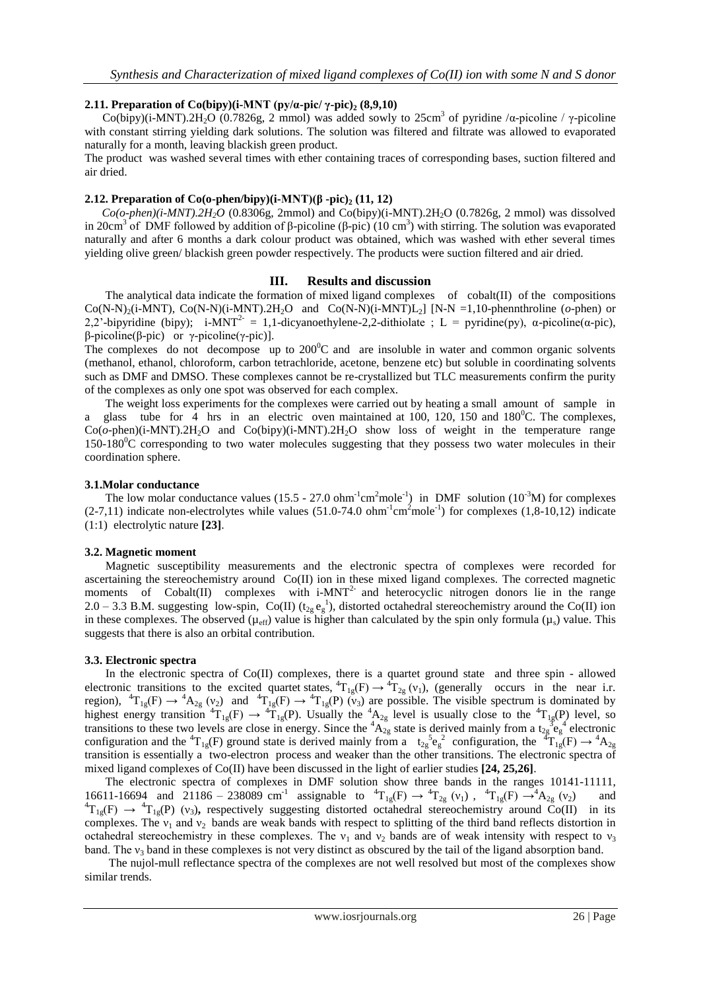#### **2.11. Preparation of Co(bipy)(i-MNT (py/α-pic/ γ-pic)<sup>2</sup> (8,9,10)**

Co(bipy)(i-MNT).2H<sub>2</sub>O (0.7826g, 2 mmol) was added sowly to 25cm<sup>3</sup> of pyridine / $\alpha$ -picoline /  $\gamma$ -picoline with constant stirring yielding dark solutions. The solution was filtered and filtrate was allowed to evaporated naturally for a month, leaving blackish green product.

The product was washed several times with ether containing traces of corresponding bases, suction filtered and air dried.

#### **2.12. Preparation of Co(o-phen/bipy)(i-MNT)(β -pic)<sup>2</sup> (11, 12)**

 $Co(o\text{-}phen)(i\text{-}MNT).2H_2O$  (0.8306g, 2mmol) and Co(bipy)(i-MNT).2H<sub>2</sub>O (0.7826g, 2 mmol) was dissolved in 20cm<sup>3</sup> of DMF followed by addition of β-picoline (β-pic) (10 cm<sup>3</sup>) with stirring. The solution was evaporated naturally and after 6 months a dark colour product was obtained, which was washed with ether several times yielding olive green/ blackish green powder respectively. The products were suction filtered and air dried.

#### **III. Results and discussion**

 The analytical data indicate the formation of mixed ligand complexes of cobalt(II) of the compositions  $Co(N-N)_2(i-MNT)$ ,  $Co(N-N)(i-MNT)$ .2H<sub>2</sub>O and  $Co(N-N)(i-MNT)L_2$ ] [N-N =1,10-phennthroline (*o*-phen) or 2,2'-bipyridine (bipy); i-MNT<sup>2-</sup> = 1,1-dicyanoethylene-2,2-dithiolate ; L = pyridine(py),  $\alpha$ -picoline( $\alpha$ -pic), β-picoline(β-pic) or γ-picoline(γ-pic)].

The complexes do not decompose up to  $200^{\circ}$ C and are insoluble in water and common organic solvents (methanol, ethanol, chloroform, carbon tetrachloride, acetone, benzene etc) but soluble in coordinating solvents such as DMF and DMSO. These complexes cannot be re-crystallized but TLC measurements confirm the purity of the complexes as only one spot was observed for each complex.

 The weight loss experiments for the complexes were carried out by heating a small amount of sample in a glass tube for  $\overline{4}$  hrs in an electric oven maintained at 100, 120, 150 and 180<sup>o</sup>C. The complexes, Co(*o*-phen)(i-MNT).2H2O and Co(bipy)(i-MNT).2H2O show loss of weight in the temperature range  $150-180^{\circ}$ C corresponding to two water molecules suggesting that they possess two water molecules in their coordination sphere.

#### **3.1.Molar conductance**

The low molar conductance values (15.5 - 27.0 ohm<sup>-1</sup>cm<sup>2</sup>mole<sup>-1</sup>) in DMF solution (10<sup>-3</sup>M) for complexes  $(2-7,11)$  indicate non-electrolytes while values  $(51.0-74.0 \text{ ohm}^{-1} \text{cm}^2 \text{mole}^{-1})$  for complexes  $(1,8-10,12)$  indicate (1:1) electrolytic nature **[23]**.

#### **3.2. Magnetic moment**

 Magnetic susceptibility measurements and the electronic spectra of complexes were recorded for ascertaining the stereochemistry around Co(II) ion in these mixed ligand complexes. The corrected magnetic moments of  $Cobalt(II)$  complexes with  $i-MNT<sup>2</sup>$  and heterocyclic nitrogen donors lie in the range 2.0 – 3.3 B.M. suggesting low-spin, Co(II) ( $t_{2g} e_g^{-1}$ ), distorted octahedral stereochemistry around the Co(II) ion in these complexes. The observed ( $\mu_{\text{eff}}$ ) value is higher than calculated by the spin only formula ( $\mu_s$ ) value. This suggests that there is also an orbital contribution.

#### **3.3. Electronic spectra**

 In the electronic spectra of Co(II) complexes, there is a quartet ground state and three spin - allowed electronic transitions to the excited quartet states,  ${}^4T_{1g}(F) \rightarrow {}^4T_{2g}(v_1)$ , (generally occurs in the near i.r. region),  ${}^{4}T_{1g}(F) \rightarrow {}^{4}A_{2g}$  (v<sub>2</sub>) and  ${}^{4}T_{1g}(F) \rightarrow {}^{4}T_{1g}(P)$  (v<sub>3</sub>) are possible. The visible spectrum is dominated by highest energy transition  ${}^4T_{1g}(F) \rightarrow {}^4T_{1g}(P)$ . Usually the  ${}^4A_{2g}$  level is usually close to the  ${}^4T_{1g}(P)$  level, so transitions to these two levels are close in energy. Since the  ${}^4A_{2g}$  state is derived mainly from a  $t_{2g}{}^3e_g{}^4$  electronic configuration and the  ${}^{4}T_{1g}(F)$  ground state is derived mainly from a  $t_{2g}{}^{5}e_{g}^{2}$  configuration, the  ${}^{4}T_{1g}(F) \rightarrow {}^{4}A_{2g}$ transition is essentially a two-electron process and weaker than the other transitions. The electronic spectra of mixed ligand complexes of Co(II) have been discussed in the light of earlier studies **[24, 25,26]**.

 The electronic spectra of complexes in DMF solution show three bands in the ranges 10141-11111, 16611-16694 and 21186 – 238089 cm<sup>-1</sup> assignable to  ${}^{4}T_{1g}(F) \rightarrow {}^{4}T_{2g}(v_1)$ ,  ${}^{4}T_{1g}(F) \rightarrow {}^{4}A_{2g}(v_2)$  and  ${}^{4}T_{1g}(F) \rightarrow {}^{4}T_{1g}(P)$  (v<sub>3</sub>), respectively suggesting distorted octahedral stereochemistry around Co(II) in its complexes. The  $v_1$  and  $v_2$  bands are weak bands with respect to splitting of the third band reflects distortion in octahedral stereochemistry in these complexes. The  $v_1$  and  $v_2$  bands are of weak intensity with respect to  $v_3$ band. The  $v_3$  band in these complexes is not very distinct as obscured by the tail of the ligand absorption band.

The nujol-mull reflectance spectra of the complexes are not well resolved but most of the complexes show similar trends.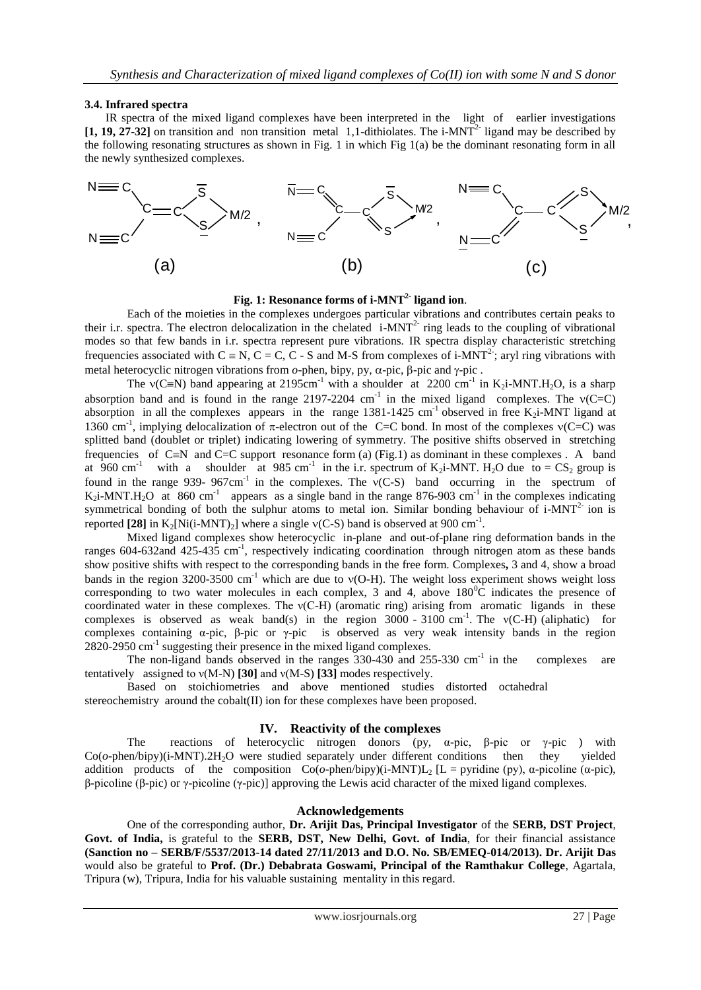#### **3.4. Infrared spectra**

 IR spectra of the mixed ligand complexes have been interpreted in the light of earlier investigations  $[1, 19, 27-32]$  on transition and non transition metal 1,1-dithiolates. The i-MNT<sup>2-</sup> ligand may be described by the following resonating structures as shown in Fig. 1 in which Fig 1(a) be the dominant resonating form in all the newly synthesized complexes.



#### **Fig. 1: Resonance forms of i-MNT2- ligand ion**.

Each of the moieties in the complexes undergoes particular vibrations and contributes certain peaks to their i.r. spectra. The electron delocalization in the chelated  $i$ -MNT<sup>2-</sup> ring leads to the coupling of vibrational modes so that few bands in i.r. spectra represent pure vibrations. IR spectra display characteristic stretching frequencies associated with  $C \equiv N$ ,  $C = C$ ,  $C - S$  and M-S from complexes of i-MNT<sup>2-</sup>; aryl ring vibrations with metal heterocyclic nitrogen vibrations from  $o$ -phen, bipy, py,  $\alpha$ -pic,  $\beta$ -pic and  $\gamma$ -pic.

The  $v(C=N)$  band appearing at 2195cm<sup>-1</sup> with a shoulder at 2200 cm<sup>-1</sup> in K<sub>2</sub>i-MNT.H<sub>2</sub>O, is a sharp absorption band and is found in the range 2197-2204 cm<sup>-1</sup> in the mixed ligand complexes. The  $v(C=C)$ absorption in all the complexes appears in the range  $1381-1425$  cm<sup>-1</sup> observed in free K<sub>2</sub>i-MNT ligand at 1360 cm<sup>-1</sup>, implying delocalization of  $\pi$ -electron out of the C=C bond. In most of the complexes  $v(C=C)$  was splitted band (doublet or triplet) indicating lowering of symmetry. The positive shifts observed in stretching frequencies of C=N and C=C support resonance form (a) (Fig.1) as dominant in these complexes. A band at 960 cm<sup>-1</sup> with a shoulder at 985 cm<sup>-1</sup> in the i.r. spectrum of K<sub>2</sub>i-MNT. H<sub>2</sub>O due to = CS<sub>2</sub> group is found in the range 939- 967cm<sup>-1</sup> in the complexes. The  $v(C-S)$  band occurring in the spectrum of  $K_2$ i-MNT.H<sub>2</sub>O at 860 cm<sup>-1</sup> appears as a single band in the range 876-903 cm<sup>-1</sup> in the complexes indicating symmetrical bonding of both the sulphur atoms to metal ion. Similar bonding behaviour of  $i$ -MNT<sup>2-</sup> ion is reported [28] in  $K_2[Ni(i-MNT)_2]$  where a single  $v(C-S)$  band is observed at 900 cm<sup>-1</sup>.

Mixed ligand complexes show heterocyclic in-plane and out-of-plane ring deformation bands in the ranges 604-632and 425-435 cm<sup>-1</sup>, respectively indicating coordination through nitrogen atom as these bands show positive shifts with respect to the corresponding bands in the free form. Complexes**,** 3 and 4, show a broad bands in the region 3200-3500 cm<sup>-1</sup> which are due to  $v(O-H)$ . The weight loss experiment shows weight loss corresponding to two water molecules in each complex, 3 and 4, above  $180^{\circ}$ C indicates the presence of coordinated water in these complexes. The  $v(C-H)$  (aromatic ring) arising from aromatic ligands in these complexes is observed as weak band(s) in the region  $3000 - 3100$  cm<sup>-1</sup>. The v(C-H) (aliphatic) for complexes containing  $\alpha$ -pic,  $\beta$ -pic or  $\gamma$ -pic is observed as very weak intensity bands in the region 2820-2950 cm<sup>-1</sup> suggesting their presence in the mixed ligand complexes.

The non-ligand bands observed in the ranges  $330-430$  and  $255-330$  cm<sup>-1</sup> in the complexes are tentatively assigned to ν(M-N) **[30]** and ν(M-S) **[33]** modes respectively.

Based on stoichiometries and above mentioned studies distorted octahedral stereochemistry around the cobalt(II) ion for these complexes have been proposed.

#### **IV. Reactivity of the complexes**

The reactions of heterocyclic nitrogen donors (py,  $\alpha$ -pic,  $\beta$ -pic or  $\gamma$ -pic) with  $Co$ ( $o$ -phen/bipy)(i-MNT).2H<sub>2</sub>O were studied separately under different conditions then they yielded addition products of the composition  $Co(\sigma\text{-phen/bipy})(i-MNT)L_2$  [L = pyridine (py), α-picoline (α-pic), β-picoline (β-pic) or γ-picoline (γ-pic)] approving the Lewis acid character of the mixed ligand complexes.

#### **Acknowledgements**

One of the corresponding author, **Dr. Arijit Das, Principal Investigator** of the **SERB, DST Project**, **Govt. of India,** is grateful to the **SERB, DST, New Delhi, Govt. of India**, for their financial assistance **(Sanction no – SERB/F/5537/2013-14 dated 27/11/2013 and D.O. No. SB/EMEQ-014/2013). Dr. Arijit Das** would also be grateful to **Prof. (Dr.) Debabrata Goswami, Principal of the Ramthakur College**, Agartala, Tripura (w), Tripura, India for his valuable sustaining mentality in this regard.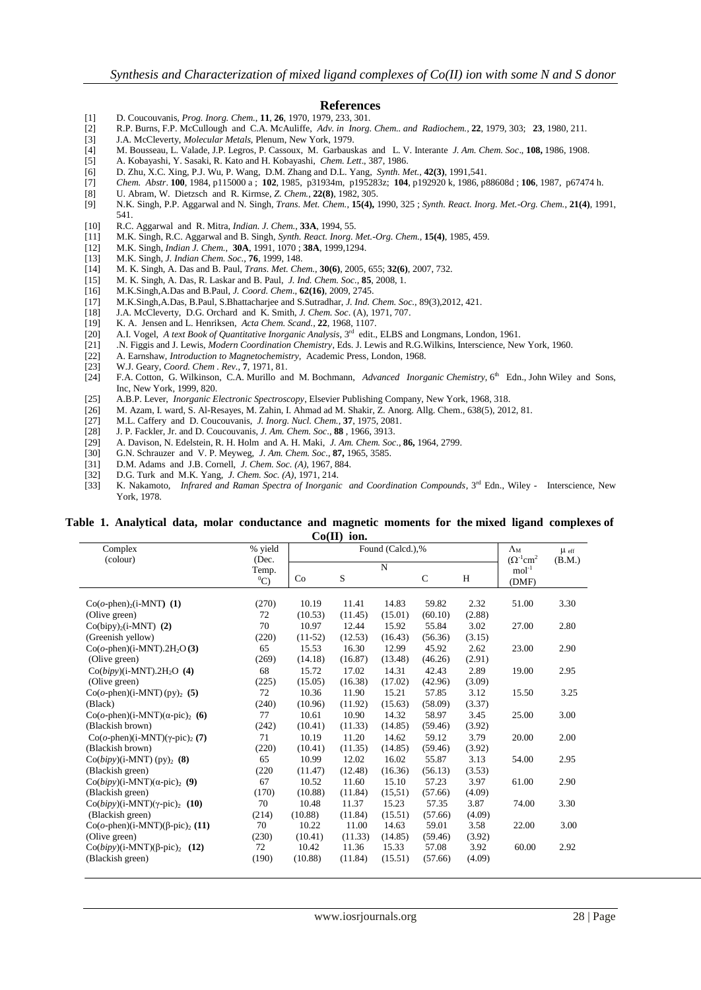#### **References**

- [1] D. Coucouvanis, *Prog. Inorg. Chem.*, **11**, **26**, 1970, 1979, 233, 301.
- [2] R.P. Burns, F.P. McCullough and C.A. McAuliffe, *Adv. in Inorg. Chem.. and Radiochem.,* **22**, 1979, 303; **23**, 1980, 211.
- [3] J.A. McCleverty, *Molecular Metals,* Plenum, New York, 1979.
- [4] M. Bousseau, L. Valade, J.P. Legros, P. Cassoux, M. Garbauskas and L. V. Interante *J. Am. Chem. Soc*., **108,** 1986, 1908.
- [5] A. Kobayashi, Y. Sasaki, R. Kato and H. Kobayashi, *Chem. Lett*., 387, 1986.
- [6] D. Zhu, X.C. Xing, P.J. Wu, P. Wang, D.M. Zhang and D.L. Yang, *Synth. Met.*, **42(3)**, 1991,541.
- [7] *Chem. Abstr*. **100**, 1984, p115000 a ; **102**, 1985, p31934m, p195283z; **104**, p192920 k, 1986, p88608d ; **106**, 1987, p67474 h.
- [8] U. Abram, W. Dietzsch and R. Kirmse, *Z. Chem.*, **22(8)**, 1982, 305.
- [9] N.K. Singh, P.P. Aggarwal and N. Singh, *Trans. Met. Chem.*, **15(4),** 1990, 325 ; *Synth. React. Inorg. Met.-Org. Chem.*, **21(4)**, 1991, 541.
- [10] R.C. Aggarwal and R. Mitra, *Indian. J. Chem.*, **33A**, 1994, 55.
- [11] M.K. Singh, R.C. Aggarwal and B. Singh, *Synth. React. Inorg. Met.-Org. Chem.,* **15(4)**, 1985, 459.
- [12] M.K. Singh, *Indian J. Chem.,* **30A**, 1991, 1070 ; **38A**, 1999,1294.
- [13] M.K. Singh, *J. Indian Chem. Soc.,* **76**, 1999, 148.
- [14] M. K. Singh, A. Das and B. Paul, *Trans. Met. Chem.*, **30(6)**, 2005, 655; **32(6)**, 2007, 732.
- [15] M. K. Singh, A. Das, R. Laskar and B. Paul, *J. Ind. Chem. Soc.*, **85**, 2008, 1.
- [16] M.K.Singh,A.Das and B.Paul, *J. Coord. Chem*., **62(16)**, 2009, 2745.
- [17] M.K.Singh,A.Das, B.Paul, S.Bhattacharjee and S.Sutradhar, *J. Ind. Chem. Soc.*, 89(3),2012, 421.
- [18] J.A. McCleverty, D.G. Orchard and K. Smith, *J. Chem. Soc*. (A), 1971, 707.
- [19] K. A. Jensen and L. Henriksen, *Acta Chem. Scand.,* **22**, 1968, 1107.
- [20] A.I. Vogel, *A text Book of Quantitative Inorganic Analysis*, 3<sup>rd</sup> edit., ELBS and Longmans, London, 1961.
- [21] .N. Figgis and J. Lewis, *Modern Coordination Chemistry*, Eds. J. Lewis and R.G.Wilkins, Interscience, New York, 1960.
- [22] A. Earnshaw, *Introduction to Magnetochemistry,* Academic Press, London, 1968.
- 
- [23] W.J. Geary, *Coord. Chem . Rev.,* **7**, 1971, 81. [24] F.A. Cotton, G. Wilkinson, C.A. Murillo and M. Bochmann, *Advanced Inorganic Chemistry*, 6<sup>th</sup> Edn., John Wiley and Sons, Inc, New York, 1999, 820.
- 
- [25] A.B.P. Lever, *Inorganic Electronic Spectroscopy*, Elsevier Publishing Company, New York, 1968, 318. [26] M. Azam, I. ward, S. Al-Resayes, M. Zahin, I. Ahmad ad M. Shakir, Z. Anorg. Allg. Chem., 638(5), 2012, 81.
- [27] M.L. Caffery and D. Coucouvanis, *J. Inorg. Nucl. Chem.*, **37**, 1975, 2081.
- [28] J. P. Fackler, Jr. and D. Coucouvanis, *J. Am. Chem. Soc*., **88** , 1966, 3913.
- [29] A. Davison, N. Edelstein, R. H. Holm and A. H. Maki, *J. Am. Chem. Soc*., **86,** 1964, 2799.
- [30] G.N. Schrauzer and V. P. Meyweg, *J. Am. Chem. Soc*., **87,** 1965, 3585.
- [31] D.M. Adams and J.B. Cornell, *J. Chem. Soc. (A)*, 1967, 884.
- [32] D.G. Turk and M.K. Yang, *J. Chem. Soc. (A)*, 1971, 214.
- [33] K. Nakamoto, *Infrared and Raman Spectra of Inorganic and Coordination Compounds*, 3<sup>rd</sup> Edn., Wiley Interscience, New York, 1978.

#### **Table 1. Analytical data, molar conductance and magnetic moments for the mixed ligand complexes of Co(II) ion.**

| Complex                                                | % yield        | $\mathbf{v}$<br>--<br>Found (Calcd.),% |         |             |              |        | $\Lambda_{\rm M}$                         | $\mu$ eff |
|--------------------------------------------------------|----------------|----------------------------------------|---------|-------------|--------------|--------|-------------------------------------------|-----------|
| (colour)                                               | (Dec.<br>Temp. |                                        |         | $\mathbf N$ |              |        | $(\Omega^{-1}$ cm <sup>2</sup><br>$mol-1$ | (B.M.)    |
|                                                        | $^0C)$         | Co                                     | S       |             | $\mathsf{C}$ | H      | (DMF)                                     |           |
| $Co(o\text{-phen})_2(i\text{-}MNT)$ (1)                | (270)          | 10.19                                  | 11.41   | 14.83       | 59.82        | 2.32   | 51.00                                     | 3.30      |
| (Olive green)                                          | 72             | (10.53)                                | (11.45) | (15.01)     | (60.10)      | (2.88) |                                           |           |
| $Co(bipy)_{2}(i-MNT)$ (2)                              | 70             | 10.97                                  | 12.44   | 15.92       | 55.84        | 3.02   | 27.00                                     | 2.80      |
| (Greenish yellow)                                      | (220)          | $(11-52)$                              | (12.53) | (16.43)     | (56.36)      | (3.15) |                                           |           |
| $Co(o\text{-phen})(i\text{-}MNT).2H_2O(3)$             | 65             | 15.53                                  | 16.30   | 12.99       | 45.92        | 2.62   | 23.00                                     | 2.90      |
| (Olive green)                                          | (269)          | (14.18)                                | (16.87) | (13.48)     | (46.26)      | (2.91) |                                           |           |
| $Co(bipy)(i-MNT).2H2O$ (4)                             | 68             | 15.72                                  | 17.02   | 14.31       | 42.43        | 2.89   | 19.00                                     | 2.95      |
| (Olive green)                                          | (225)          | (15.05)                                | (16.38) | (17.02)     | (42.96)      | (3.09) |                                           |           |
| $Co(o\text{-phen})(i\text{-}MNT)(py)_2$ (5)            | 72             | 10.36                                  | 11.90   | 15.21       | 57.85        | 3.12   | 15.50                                     | 3.25      |
| (Black)                                                | (240)          | (10.96)                                | (11.92) | (15.63)     | (58.09)      | (3.37) |                                           |           |
| Co( $o$ -phen)(i-MNT)( $\alpha$ -pic) <sub>2</sub> (6) | 77             | 10.61                                  | 10.90   | 14.32       | 58.97        | 3.45   | 25.00                                     | 3.00      |
| (Blackish brown)                                       | (242)          | (10.41)                                | (11.33) | (14.85)     | (59.46)      | (3.92) |                                           |           |
| Co( $o$ -phen)(i-MNT)( $\gamma$ -pic) <sub>2</sub> (7) | 71             | 10.19                                  | 11.20   | 14.62       | 59.12        | 3.79   | 20.00                                     | 2.00      |
| (Blackish brown)                                       | (220)          | (10.41)                                | (11.35) | (14.85)     | (59.46)      | (3.92) |                                           |           |
| $Co(bipy)(i-MNT)(py)$ <sub>2</sub> (8)                 | 65             | 10.99                                  | 12.02   | 16.02       | 55.87        | 3.13   | 54.00                                     | 2.95      |
| (Blackish green)                                       | (220)          | (11.47)                                | (12.48) | (16.36)     | (56.13)      | (3.53) |                                           |           |
| Co(bipy)(i-MNT)( $\alpha$ -pic) <sub>2</sub> (9)       | 67             | 10.52                                  | 11.60   | 15.10       | 57.23        | 3.97   | 61.00                                     | 2.90      |
| (Blackish green)                                       | (170)          | (10.88)                                | (11.84) | (15,51)     | (57.66)      | (4.09) |                                           |           |
| Co(bipy)(i-MNT)( $\gamma$ -pic) <sub>2</sub> (10)      | 70             | 10.48                                  | 11.37   | 15.23       | 57.35        | 3.87   | 74.00                                     | 3.30      |
| (Blackish green)                                       | (214)          | (10.88)                                | (11.84) | (15.51)     | (57.66)      | (4.09) |                                           |           |
| Co( $o$ -phen)(i-MNT)( $\beta$ -pic) <sub>2</sub> (11) | 70             | 10.22                                  | 11.00   | 14.63       | 59.01        | 3.58   | 22.00                                     | 3.00      |
| (Olive green)                                          | (230)          | (10.41)                                | (11.33) | (14.85)     | (59.46)      | (3.92) |                                           |           |
| $Co(bipy)(i-MNT)(\beta-pic)_2$ (12)                    | 72             | 10.42                                  | 11.36   | 15.33       | 57.08        | 3.92   | 60.00                                     | 2.92      |
| (Blackish green)                                       | (190)          | (10.88)                                | (11.84) | (15.51)     | (57.66)      | (4.09) |                                           |           |